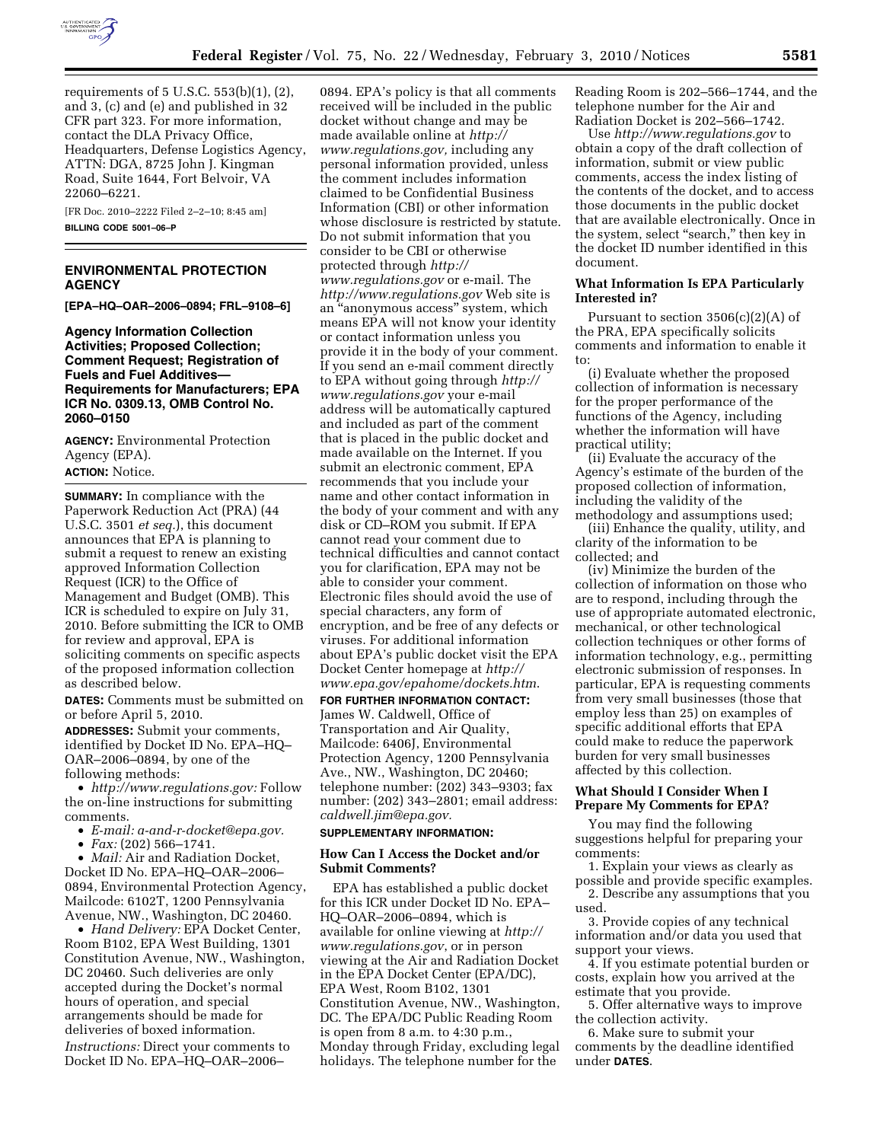

requirements of 5 U.S.C. 553(b)(1), (2), and 3, (c) and (e) and published in 32 CFR part 323. For more information, contact the DLA Privacy Office, Headquarters, Defense Logistics Agency, ATTN: DGA, 8725 John J. Kingman Road, Suite 1644, Fort Belvoir, VA 22060–6221.

[FR Doc. 2010–2222 Filed 2–2–10; 8:45 am] **BILLING CODE 5001–06–P** 

# **ENVIRONMENTAL PROTECTION AGENCY**

**[EPA–HQ–OAR–2006–0894; FRL–9108–6]** 

**Agency Information Collection Activities; Proposed Collection; Comment Request; Registration of Fuels and Fuel Additives— Requirements for Manufacturers; EPA ICR No. 0309.13, OMB Control No. 2060–0150** 

**AGENCY:** Environmental Protection Agency (EPA).

# **ACTION:** Notice.

**SUMMARY:** In compliance with the Paperwork Reduction Act (PRA) (44 U.S.C. 3501 *et seq.*), this document announces that EPA is planning to submit a request to renew an existing approved Information Collection Request (ICR) to the Office of Management and Budget (OMB). This ICR is scheduled to expire on July 31, 2010. Before submitting the ICR to OMB for review and approval, EPA is soliciting comments on specific aspects of the proposed information collection as described below.

**DATES:** Comments must be submitted on or before April 5, 2010.

**ADDRESSES:** Submit your comments, identified by Docket ID No. EPA–HQ– OAR–2006–0894, by one of the following methods:

• *http://www.regulations.gov:* Follow the on-line instructions for submitting comments.

- *E-mail: a-and-r-docket@epa.gov.*
- *Fax:* (202) 566–1741.

• *Mail:* Air and Radiation Docket, Docket ID No. EPA–HQ–OAR–2006– 0894, Environmental Protection Agency, Mailcode: 6102T, 1200 Pennsylvania Avenue, NW., Washington, DC 20460.

• *Hand Delivery:* EPA Docket Center, Room B102, EPA West Building, 1301 Constitution Avenue, NW., Washington, DC 20460. Such deliveries are only accepted during the Docket's normal hours of operation, and special arrangements should be made for deliveries of boxed information. *Instructions:* Direct your comments to Docket ID No. EPA–HQ–OAR–2006–

0894. EPA's policy is that all comments received will be included in the public docket without change and may be made available online at *http:// www.regulations.gov,* including any personal information provided, unless the comment includes information claimed to be Confidential Business Information (CBI) or other information whose disclosure is restricted by statute. Do not submit information that you consider to be CBI or otherwise protected through *http:// www.regulations.gov* or e-mail. The *http://www.regulations.gov* Web site is an ''anonymous access'' system, which means EPA will not know your identity or contact information unless you provide it in the body of your comment. If you send an e-mail comment directly to EPA without going through *http:// www.regulations.gov* your e-mail address will be automatically captured and included as part of the comment that is placed in the public docket and made available on the Internet. If you submit an electronic comment, EPA recommends that you include your name and other contact information in the body of your comment and with any disk or CD–ROM you submit. If EPA cannot read your comment due to technical difficulties and cannot contact you for clarification, EPA may not be able to consider your comment. Electronic files should avoid the use of special characters, any form of encryption, and be free of any defects or viruses. For additional information about EPA's public docket visit the EPA Docket Center homepage at *http:// www.epa.gov/epahome/dockets.htm*.

**FOR FURTHER INFORMATION CONTACT:**  James W. Caldwell, Office of Transportation and Air Quality, Mailcode: 6406J, Environmental Protection Agency, 1200 Pennsylvania Ave., NW., Washington, DC 20460; telephone number: (202) 343–9303; fax number: (202) 343–2801; email address: *caldwell.jim@epa.gov.* 

#### **SUPPLEMENTARY INFORMATION:**

#### **How Can I Access the Docket and/or Submit Comments?**

EPA has established a public docket for this ICR under Docket ID No. EPA– HQ–OAR–2006–0894, which is available for online viewing at *http:// www.regulations.gov*, or in person viewing at the Air and Radiation Docket in the EPA Docket Center (EPA/DC), EPA West, Room B102, 1301 Constitution Avenue, NW., Washington, DC. The EPA/DC Public Reading Room is open from  $8$  a.m. to  $4:30$  p.m. Monday through Friday, excluding legal holidays. The telephone number for the

Reading Room is 202–566–1744, and the telephone number for the Air and Radiation Docket is 202–566–1742.

Use *http://www.regulations.gov* to obtain a copy of the draft collection of information, submit or view public comments, access the index listing of the contents of the docket, and to access those documents in the public docket that are available electronically. Once in the system, select "search," then key in the docket ID number identified in this document.

#### **What Information Is EPA Particularly Interested in?**

Pursuant to section  $3506(c)(2)(A)$  of the PRA, EPA specifically solicits comments and information to enable it to:

(i) Evaluate whether the proposed collection of information is necessary for the proper performance of the functions of the Agency, including whether the information will have practical utility;

(ii) Evaluate the accuracy of the Agency's estimate of the burden of the proposed collection of information, including the validity of the methodology and assumptions used;

(iii) Enhance the quality, utility, and clarity of the information to be collected; and

(iv) Minimize the burden of the collection of information on those who are to respond, including through the use of appropriate automated electronic, mechanical, or other technological collection techniques or other forms of information technology, e.g., permitting electronic submission of responses. In particular, EPA is requesting comments from very small businesses (those that employ less than 25) on examples of specific additional efforts that EPA could make to reduce the paperwork burden for very small businesses affected by this collection.

## **What Should I Consider When I Prepare My Comments for EPA?**

You may find the following suggestions helpful for preparing your comments:

1. Explain your views as clearly as possible and provide specific examples.

2. Describe any assumptions that you used.

3. Provide copies of any technical information and/or data you used that support your views.

4. If you estimate potential burden or costs, explain how you arrived at the estimate that you provide.

5. Offer alternative ways to improve the collection activity.

6. Make sure to submit your comments by the deadline identified under **DATES**.